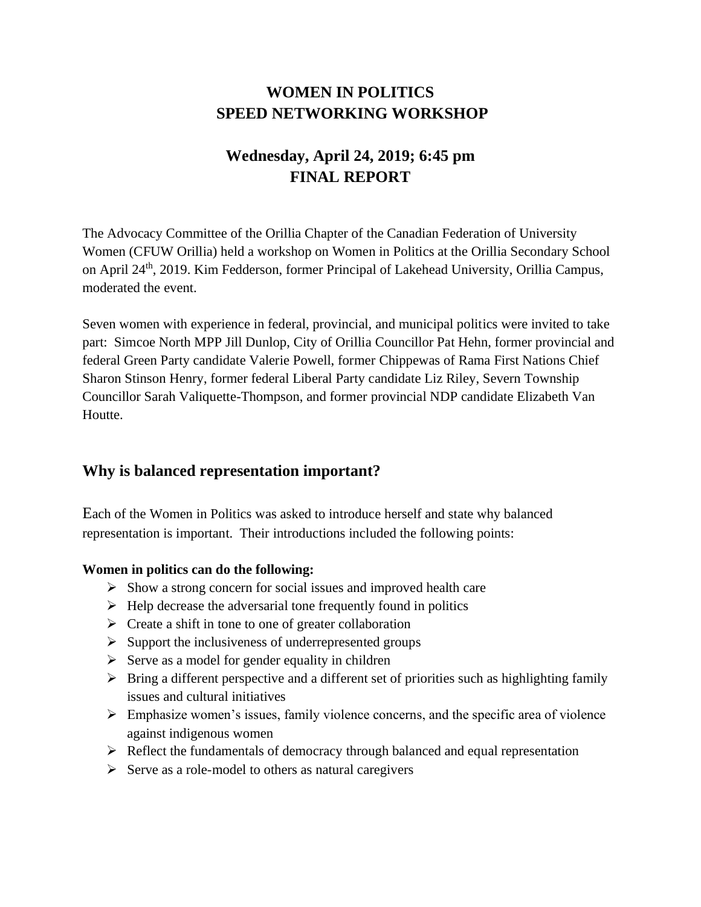# **WOMEN IN POLITICS SPEED NETWORKING WORKSHOP**

# **Wednesday, April 24, 2019; 6:45 pm FINAL REPORT**

The Advocacy Committee of the Orillia Chapter of the Canadian Federation of University Women (CFUW Orillia) held a workshop on Women in Politics at the Orillia Secondary School on April 24<sup>th</sup>, 2019. Kim Fedderson, former Principal of Lakehead University, Orillia Campus, moderated the event.

Seven women with experience in federal, provincial, and municipal politics were invited to take part: Simcoe North MPP Jill Dunlop, City of Orillia Councillor Pat Hehn, former provincial and federal Green Party candidate Valerie Powell, former Chippewas of Rama First Nations Chief Sharon Stinson Henry, former federal Liberal Party candidate Liz Riley, Severn Township Councillor Sarah Valiquette-Thompson, and former provincial NDP candidate Elizabeth Van Houtte.

# **Why is balanced representation important?**

Each of the Women in Politics was asked to introduce herself and state why balanced representation is important. Their introductions included the following points:

## **Women in politics can do the following:**

- ➢ Show a strong concern for social issues and improved health care
- $\triangleright$  Help decrease the adversarial tone frequently found in politics
- ➢ Create a shift in tone to one of greater collaboration
- ➢ Support the inclusiveness of underrepresented groups
- $\triangleright$  Serve as a model for gender equality in children
- $\triangleright$  Bring a different perspective and a different set of priorities such as highlighting family issues and cultural initiatives
- ➢ Emphasize women's issues, family violence concerns, and the specific area of violence against indigenous women
- ➢ Reflect the fundamentals of democracy through balanced and equal representation
- $\triangleright$  Serve as a role-model to others as natural caregivers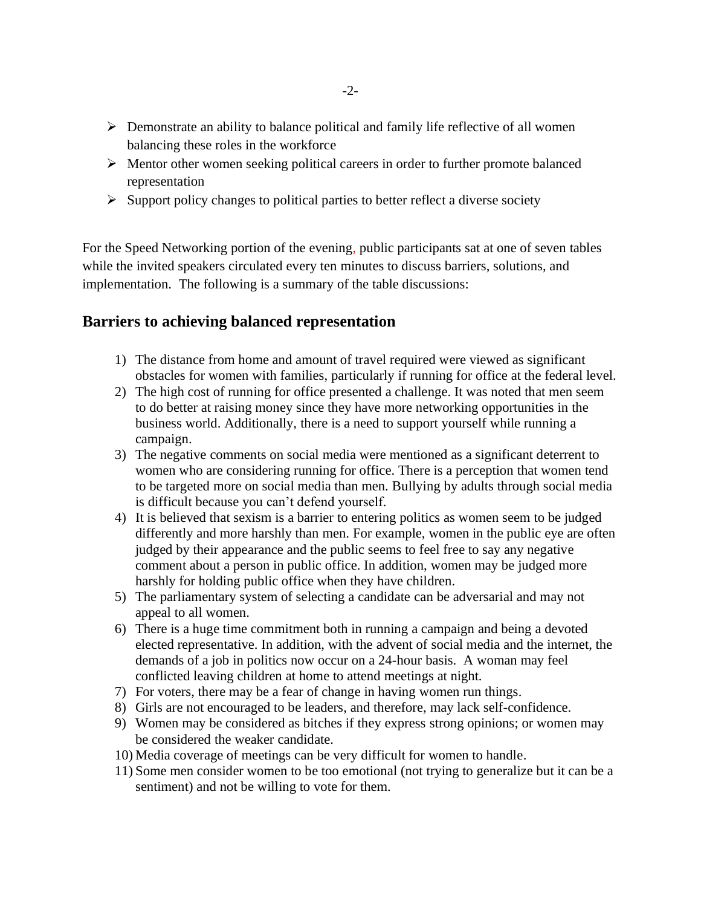- ➢ Demonstrate an ability to balance political and family life reflective of all women balancing these roles in the workforce
- ➢ Mentor other women seeking political careers in order to further promote balanced representation
- $\triangleright$  Support policy changes to political parties to better reflect a diverse society

For the Speed Networking portion of the evening, public participants sat at one of seven tables while the invited speakers circulated every ten minutes to discuss barriers, solutions, and implementation. The following is a summary of the table discussions:

## **Barriers to achieving balanced representation**

- 1) The distance from home and amount of travel required were viewed as significant obstacles for women with families, particularly if running for office at the federal level.
- 2) The high cost of running for office presented a challenge. It was noted that men seem to do better at raising money since they have more networking opportunities in the business world. Additionally, there is a need to support yourself while running a campaign.
- 3) The negative comments on social media were mentioned as a significant deterrent to women who are considering running for office. There is a perception that women tend to be targeted more on social media than men. Bullying by adults through social media is difficult because you can't defend yourself.
- 4) It is believed that sexism is a barrier to entering politics as women seem to be judged differently and more harshly than men. For example, women in the public eye are often judged by their appearance and the public seems to feel free to say any negative comment about a person in public office. In addition, women may be judged more harshly for holding public office when they have children.
- 5) The parliamentary system of selecting a candidate can be adversarial and may not appeal to all women.
- 6) There is a huge time commitment both in running a campaign and being a devoted elected representative. In addition, with the advent of social media and the internet, the demands of a job in politics now occur on a 24-hour basis. A woman may feel conflicted leaving children at home to attend meetings at night.
- 7) For voters, there may be a fear of change in having women run things.
- 8) Girls are not encouraged to be leaders, and therefore, may lack self-confidence.
- 9) Women may be considered as bitches if they express strong opinions; or women may be considered the weaker candidate.
- 10) Media coverage of meetings can be very difficult for women to handle.
- 11) Some men consider women to be too emotional (not trying to generalize but it can be a sentiment) and not be willing to vote for them.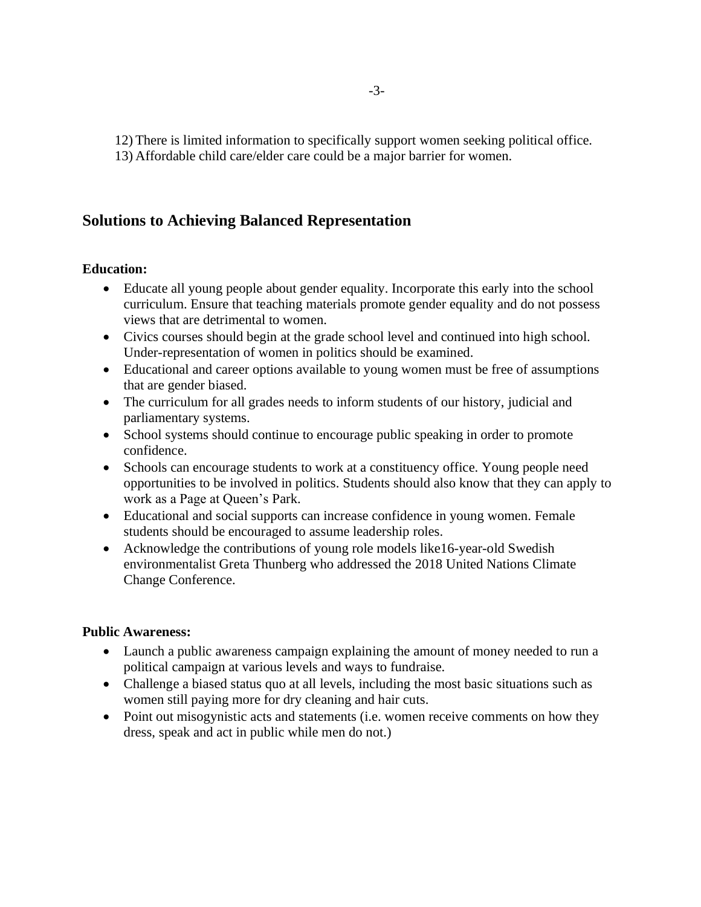12) There is limited information to specifically support women seeking political office.

13) Affordable child care/elder care could be a major barrier for women.

# **Solutions to Achieving Balanced Representation**

## **Education:**

- Educate all young people about gender equality. Incorporate this early into the school curriculum. Ensure that teaching materials promote gender equality and do not possess views that are detrimental to women.
- Civics courses should begin at the grade school level and continued into high school. Under-representation of women in politics should be examined.
- Educational and career options available to young women must be free of assumptions that are gender biased.
- The curriculum for all grades needs to inform students of our history, judicial and parliamentary systems.
- School systems should continue to encourage public speaking in order to promote confidence.
- Schools can encourage students to work at a constituency office. Young people need opportunities to be involved in politics. Students should also know that they can apply to work as a Page at Queen's Park.
- Educational and social supports can increase confidence in young women. Female students should be encouraged to assume leadership roles.
- Acknowledge the contributions of young role models like16-year-old Swedish environmentalist Greta Thunberg who addressed the 2018 United Nations Climate Change Conference.

## **Public Awareness:**

- Launch a public awareness campaign explaining the amount of money needed to run a political campaign at various levels and ways to fundraise.
- Challenge a biased status quo at all levels, including the most basic situations such as women still paying more for dry cleaning and hair cuts.
- Point out misogynistic acts and statements (i.e. women receive comments on how they dress, speak and act in public while men do not.)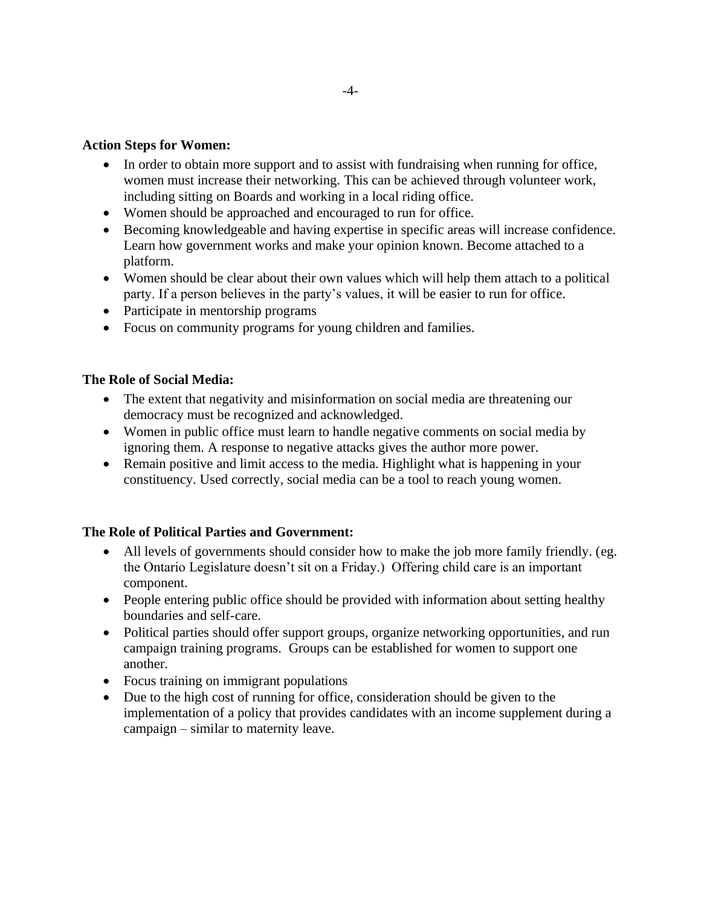#### **Action Steps for Women:**

- In order to obtain more support and to assist with fundraising when running for office, women must increase their networking. This can be achieved through volunteer work, including sitting on Boards and working in a local riding office.
- Women should be approached and encouraged to run for office.
- Becoming knowledgeable and having expertise in specific areas will increase confidence. Learn how government works and make your opinion known. Become attached to a platform.
- Women should be clear about their own values which will help them attach to a political party. If a person believes in the party's values, it will be easier to run for office.
- Participate in mentorship programs
- Focus on community programs for young children and families.

#### **The Role of Social Media:**

- The extent that negativity and misinformation on social media are threatening our democracy must be recognized and acknowledged.
- Women in public office must learn to handle negative comments on social media by ignoring them. A response to negative attacks gives the author more power.
- Remain positive and limit access to the media. Highlight what is happening in your constituency. Used correctly, social media can be a tool to reach young women.

#### **The Role of Political Parties and Government:**

- All levels of governments should consider how to make the job more family friendly. (eg. the Ontario Legislature doesn't sit on a Friday.) Offering child care is an important component.
- People entering public office should be provided with information about setting healthy boundaries and self-care.
- Political parties should offer support groups, organize networking opportunities, and run campaign training programs. Groups can be established for women to support one another.
- Focus training on immigrant populations
- Due to the high cost of running for office, consideration should be given to the implementation of a policy that provides candidates with an income supplement during a campaign – similar to maternity leave.